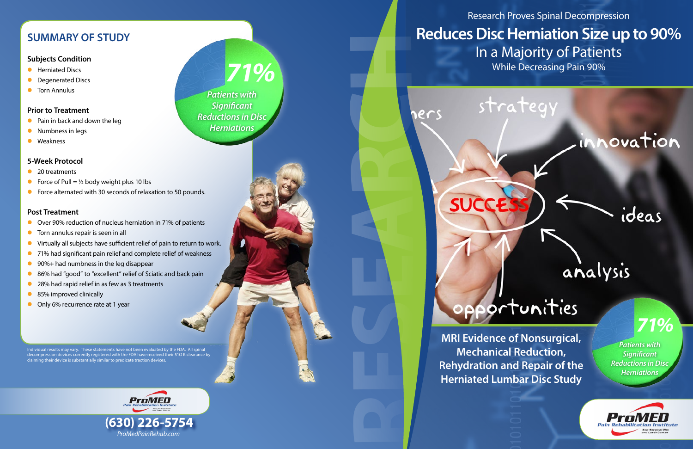# **Reduces Disc Herniation Size up to 90%** While Decreasing Pain 90% RESEARCH

strategy

ners

# Research Proves Spinal Decompression In a Majority of Patients



**SUCC** 

# opportunities

**Mechanical Reduction, Rehydration and Repair of the Herniated Lumbar Disc Study**

## **SUMMARY OF STUDY**

### **Subjects Condition**

- **•** Herniated Discs
- **•** Degenerated Discs
- **•** Torn Annulus

### **Prior to Treatment**

- $\bullet$  Pain in back and down the leg
- Numbness in legs
- $\bullet$  Weakness

### **5-Week Protocol**

- $\bullet$  20 treatments
- Force of Pull =  $\frac{1}{2}$  body weight plus 10 lbs
- **•** Force alternated with 30 seconds of relaxation to 50 pounds.

### **Post Treatment**

- Over 90% reduction of nucleus herniation in 71% of patients
- $\bullet$  Torn annulus repair is seen in all
- **•** Virtually all subjects have sufficient relief of pain to return to work.
- 71% had significant pain relief and complete relief of weakness
- $\bullet$  90%+ had numbness in the leg disappear
- 86% had "good" to "excellent" relief of Sciatic and back pain
- 28% had rapid relief in as few as 3 treatments
- 85% improved clinically
- **O** Only 6% recurrence rate at 1 year



Individual results may vary. These statements have not been evaluated by the FDA. All spinal decompression devices currently registered with the FDA have received their 51O K clearance by claiming their device is substantially similar to predicate traction devices.

*Patients with Significant Reductions in Disc Herniations 71%*

> *Patients with Significant Reductions in Disc Herniations*

novation

ideas

analysis